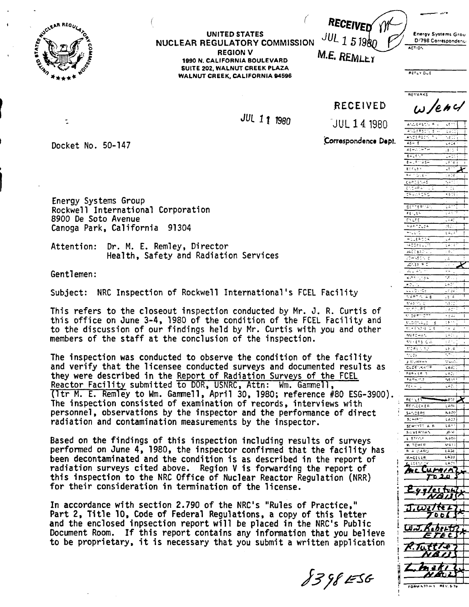

 $\ddot{\cdot}$ 

#### **NUCLEAR REGULATORY COMMlSSlON leg0 N. CALIFORNIA BOULEVARD UNITED STATES REGION V SUITE 202, WALNUT CREEK PLAZA WALNUT CREEK, CALIFORNIA 94596**

|   | Energy Systems Grou<br>/798 Correspondence |
|---|--------------------------------------------|
| ለ | <b>ACTION</b>                              |

**M.E. REMLEY** 

**REFLY DUE** 

ANDERSON RIV **ANDRESCY** S  $257222$ 

 $\overline{K}$ 

<u>समारा</u>

**ELFLEY** 

 $25 - 127$ 

E A CETTA SA

**SCHIVITT A F** 

**KHEELER** 

Eggles

J, Witter 00 D N

 $UJ.KabetU$ E TE C P.Tutt*te* N 8 I I

LASS 1.421 じひとカノヘ r

tut

**JUL 11 1980** 

 $\big($ 

**REVARKS**  $w$  /enc/

 $1 - 14$ 

<u>. इतरा</u>

لالتاشيا

 $-221$ 

**<sup>I</sup>**Docket No. 50-147

Correspondence Dept.

JUL 14 1980

**RECEIVED** 

Energy Systems Group<br>Rockwell International Corporation 8900 De Soto Avenue Canoga Park, California 91304

Attention: Dr. M. E. Remley, Director Health, Safety and Radiation Services

i

Subject: NRC Inspection of Rockwell International's FCEL Facility

This refers to the closeout inspection conducted by Mr. J. R. Curtis of this office on June 3-4, 1980 of the condition of the FCEL Facility and to the discussion of our findings held by Mr. Curtis with you and other members of the staff at the conclusion of the inspection.

The inspection was conducted to observe the condition of the facility and verify that the licensee conducted surveys and documented results as they were described in the Report of Radiation Surveys of the FCEL<br>Reactor Facility submitted to DOR, USNRC, Attn: Wm. Gammell, Reacty Systems Group<br>
Reactor Facilitation<br>
Reactor Facilitation: Dr. M. E. Remley, Director<br>
Health, Safety and Radiation Services<br>
Sentlemen:<br>
Subject: NRC Inspection of Rockwell International's FCEL Facility<br>
This refer The inspection consisted of examination of records, interviews with<br>personnel, observations by the inspector and the performance of direct personnel, observations by the inspector and the performance of direct  $\frac{1}{2}$   $\frac{54.25658}{55.1642}$  **heavily**<br>radiation and contamination measurements by the inspector.

Based on the findings of this inspection including results of surveys<br>performed on June 4, 1980, the inspector confirmed that the facility has been decontaminated and the condition is as described in the report of radiation surveys cited above. Region **V** is forwarding the report of this inspection to the NRC Office of Nuclear Reactor Regulation (NRR) for their consideration in termination of the license.

In accordance with section 2.790 of the NRC's "Rules of Practice," Part 2, Title 10, Code of Federal Regulations, a copy of this letter and the enclosed inpsection report will be placed in the NRC's Public Document Room. If this report contains any information that you believe to be proprietary, it is necessary that you submit a written application

*k37kk3* **romw h7)-\* 7 REV. 5.7"**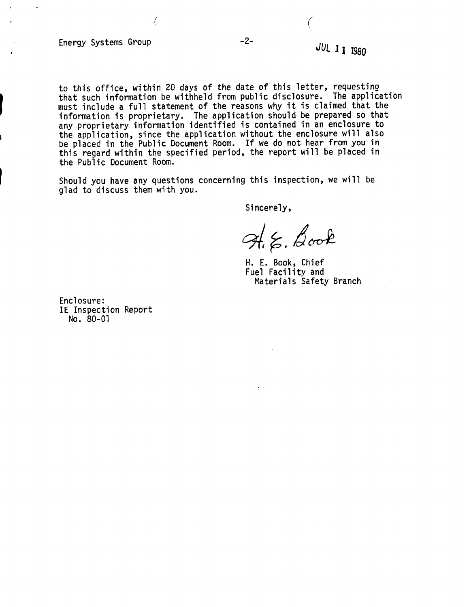Energy Systems Group

to this office, within 20 days of the date of this letter, requesting that such information be withheld from public disclosure. The application must include a full statement of the reasons why it is claimed that the information is proprietary. The appl ication should be prepared so that any proprietary information identified is contained in an enclosure to the application, since the application without the enclosure will also be placed in the Public Document Room. If we do not hear from you in this regard within the specified period, the report will be placed in the Public Document Room.

Should you have any questions concerning this inspection, we will be glad to discuss them with you.

Sincerely,

 $H_{i}\xi$ , Book

H. E. Book, Chief Fuel Facility and Materials Safety Branch

Enclosure: IE Inspection Report NO. 80-01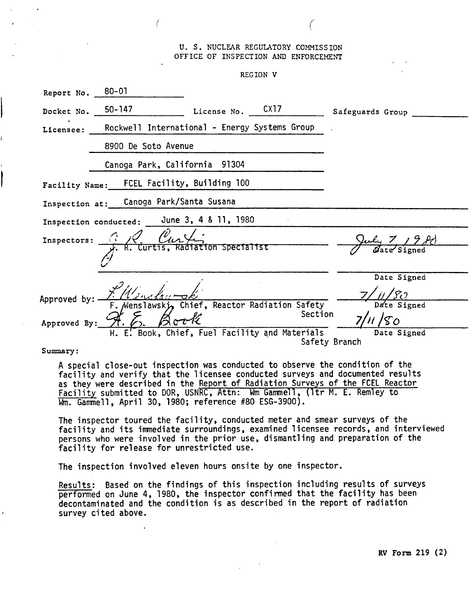## U. S. NUCLEAR REGULATORY COMMISSION OFFICE OF INSPECTION AND ENFORCEMENT

 $\bigg)$ 

REGION V

| Report No. 80-01                           |                                                                                     |  |         |                              |  |
|--------------------------------------------|-------------------------------------------------------------------------------------|--|---------|------------------------------|--|
|                                            | Docket No. $50-147$ License No. $CX17$                                              |  |         | Safeguards Group             |  |
|                                            | Licensee: Rockwell International - Energy Systems Group                             |  |         |                              |  |
|                                            | 8900 De Soto Avenue                                                                 |  |         |                              |  |
|                                            | Canoga Park, California 91304                                                       |  |         |                              |  |
|                                            | Facility Name: FCEL Facility, Building 100                                          |  |         |                              |  |
| Inspection at: Canoga Park/Santa Susana    |                                                                                     |  |         |                              |  |
| Inspection conducted: June 3, 4 & 11, 1980 |                                                                                     |  |         |                              |  |
|                                            | Inspectors: $\frac{1}{x}$ , R. Curtis, Radiation Specialist                         |  |         | uly 7 1980                   |  |
|                                            |                                                                                     |  |         |                              |  |
|                                            |                                                                                     |  |         | Date Signed                  |  |
| Approved by: —<br>Approved By:             | F. ////www.daurok/<br>F. Menslawski, Chief, Reactor Radiation Safety<br>$H.E.$ Book |  | Section | Date Signed                  |  |
|                                            | H. E. Book, Chief, Fuel Facility and Materials                                      |  |         | Date Signed<br>Safety Branch |  |

Summary:

A special close-out inspection was conducted to observe the condition of the facility and verify that the licensee conducted surveys and documented results as they were described in the Report of Radiation Surveys of the FCEL Reactor Facility submitted to DOR, USNRC, Attn: Wm Gammell, (Itr M. E. Remley to Wm. Gammell, April 30, 1980; reference #80 ESG-3900).

The inspector toured the facility, conducted meter and smear surveys of the facility and its immediate surroundings, examined licensee records, and interviewed persons who were involved in the prior use, dismantling and preparation of the facility for release for unrestricted use.

The inspection involved eleven hours onsite by one inspector.

Results: Based on the findings of this inspection including results of surveys performed on June 4, 1980, the inspector confirmed that the facility has been decontaminated and the condition is as described in the report of radiation survey cited above.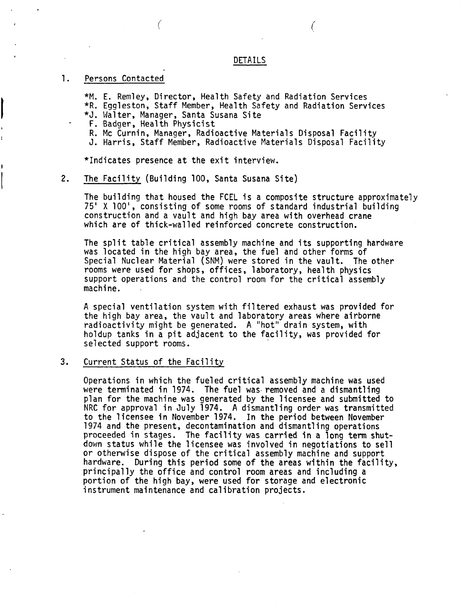## DETAILS

#### 1. Persons Contacted

\*M. E. Remley, Director, Health Safety and Radiation Services \*R. Eggleston, Staff Member, Health Safety and Radiation Services

- \*J. Walter, Manager, Santa Susana Site
- F. Badger, Health Physicist
- R. Mc Curnin, Manager, Radioactive Materials Disposal Facility
- J. Harris, Staff Member, Radioactive Materials Disposal Facility

\*Indicates presence at the exit interview.

#### **2.** The Facility (Building 100, Santa Susana Site)

The building that housed the FCEL is a composite structure approximately 75' X 100', consisting of some rooms of standard industrial building construction and a vault and high bay area with overhead crane which are of thick-walled reinforced concrete construction.

The split table critical assembly machine and its supporting hardware was located in the high bay area, the fuel and other forms of Special Nuclear Material (SNM) were stored in the vault. The other rooms were used for shops, offices, laboratory, health physics support operations and the control room for the critical assembly machine.

**A** special ventilation system with filtered exhaust was provided for the high bay area, the vault and laboratory areas where airborne radioactivity might be generated. **A** "hot" drain system, with holdup tanks in a pit adjacent to the facility, was provided for selected support rooms.

### **3.** Current Status of the Facility

Operations in which the fueled critical assembly machine was used were terminated in 1974. The fuel was removed and a dismantling plan for the machine was generated by the licensee and submitted to NRC for approval in July 1974. **A** dismantling order was transmitted to the 1 icensee in November 1974. In the period between November 1974 and the present, decontamination and dismantling operations proceeded in stages. The facility was carried in a long term shutdown status while the licensee was involved in negotiations to sell or otherwise dispose of the critical assembly machine and support hardware. During this period some of the areas within the facility, principally the office and control room areas and including a portion of the high bay, were used for storage and electronic instrument maintenance and calibration projects.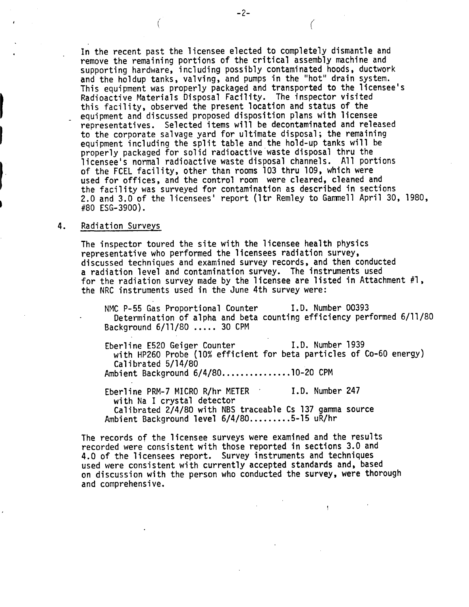In the recent past the licensee elected to completely dismantle and remove the remaining portions of the critical assembly machine and supporting hardware, including possibly contaminated hoods, ductwork and the holdup tanks, valving, and pumps in the "hot" drain system. This equipment was properly packaged and transported to the licensee's Radioactive Materials Disposal Facility. The inspector visited this facility, observed the present location and status of the equipment and discussed proposed disposition plans with licensee representatives. Selected items will be decontaminated and released<br>to the corporate salvage yard for ultimate disposal; the remaining equipment including the split table and the hold-up tanks will be properly packaged for solid radioactive waste disposal thru the licensee's normal radioactive waste disposal channels. All portions of the FCEL facility, other than rooms 103 thru 109, which were used for offices, and the control room were cleared, cleaned and the facility was surveyed for contamination as described in sections 2.0 and 3.0 of the licensees' report (Itr Remley to Gamnell April 30, 1980, #80 ESG-3900).

## 4. Radiation Surveys

The inspector toured the site with the licensee health physics representative who performed the licensees radiation survey, discussed techniques and examined survey records, and then conducted a radiation level and contamination survey. The instruments used for the radiation survey made **by** the licensee are listed in Attachment #I, the NRC instruments used in the June 4th survey were:

NMC P-55 Gas Proportional Counter **I.D.** Number 00393 Determination of alpha and beta counting efficiency performed 6/11/80 Background 6/11/80 ..... 30 CPM

Eberline E520 Geiger Counter **I.D.** Number 1939 with HP260 Probe (10% efficient for beta particles of Co-60 energy) Calibrated 5/14/80 Ambient Background 6/4/80. . . . . . . . . . . . . . .lo-20 CPM

 $\mathbf{y}$ 

Eberline PRM-7 MICRO R/hr METER \* **I.D.** Number 247 with Na I crystal detector Calibrated 2/4/80 with NBS traceable Cs 137 gamma source Ambient Background level 6/4/80.........5-15 uR/hr

The records of the licensee surveys were examined and the results recorded were consistent with those reported in sections 3.0 and 4.0 of the licensees report. Survey instruments and techniques used were consistent with currently accepted standards and, based on discussion with the person who conducted the survey, were thorough and comprehensive.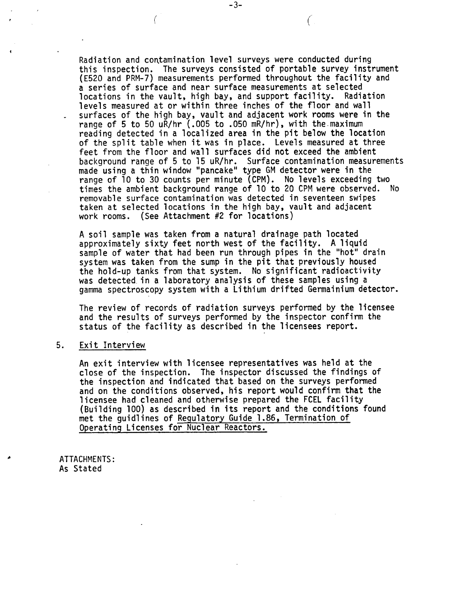Radiation and contamination level surveys were conducted during this inspection. The surveys consisted of portable survey instrument (E520 and PRM-7) measurements performed throughout the facility and a series of surface and near surface measurements at selected locations in the vault, high bay, and support facility. Radiation levels measured at or within three inches of the floor and wall surfaces of the high bay, vault and adjacent work rooms were in the range of 5 to 50 uR/hr ( .OO5 to .O5O mR/hr) , with the. maximum reading detected in a localized area in the pit below the location of the split table when it was in place. Levels measured at three feet from the floor and wall surfaces did not exceed the ambient background range of 5 to 15 uR/hr. Surface contamination measurements made using a thin window "pancake" type GM detector were in the range of 10 to 30 counts per minute (CPM). No levels exceeding two times the ambient background range of 10 to 20 CPM were observed. No<br>removable surface contamination was detected in seventeen swipes taken at selected locations in the high bay, vault and adjacent<br>work rooms. (See Attachment #2 for locations)

 $-3-$ 

€

**<sup>A</sup>**soil sample was taken from a natural drainage path located approximately sixty feet north west of the facility. A liquid sample of water that had been run through pipes in the "hot" drain system was taken from the sump in the pit that previously housed the hold-up tanks from that system. No significant radioactivity was detected. in a laboratory analysis of these samples using a gamma spectroscopy system with a Lithium drifted Germainium detector.

The review of records of radiation surveys performed by the licensee and the results of surveys performed by the inspector confirm the status of the facility as described in the licensees report.

#### 5. Exit Interview

An exit interview with licensee representatives was held at the close of the inspection. The inspector discussed the findings of the inspection and indicated that based on the surveys performed and on the conditions observed, his report would confirm that the licensee had cleaned and otherwise prepared the FCEL facility (Building 100) as described in its report and the conditions found met the guidlines of Regulatory Guide 1.86, Termination of Operating Licenses for Nuclear Reactors.

ATTACHMENTS : As Stated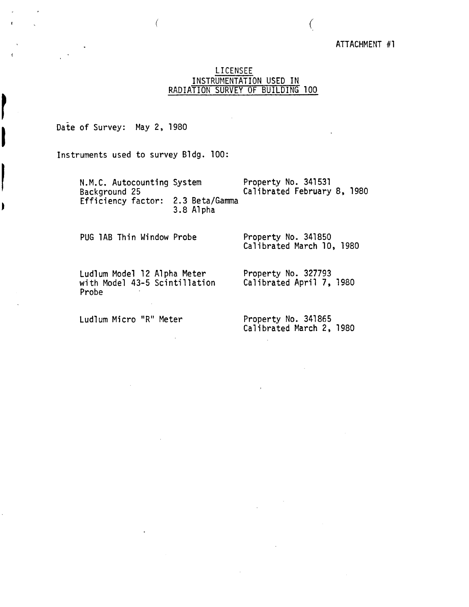# ATTACHMENT #1

 $\int$ 

# LICENSEE INSTRUMENTATION USED IN RADIATION SURVEY OF BUILDING 100

Date of Survey: May 2, 1980

Instruments used to survey Bldg. 100:

N.M.C. Autocounting System Property No. 341531<br>Background 25 611brated February Calibrated February 8, 1980 Efficiency factor: 2.3 Beta/Gamma 3.8 Alpha

PUG 1AB Thin Window Probe Property No. 341850

Calibrated March 10, 1980

Ludlum Model 12 Alpha Meter<br>
with Model 43-5 Scintillation Calibrated April 7, 1980 with Model 43-5 Scintillation Probe

Ludlum Micro "R" Meter Property No. 341865

Calibrated March 2, 1980